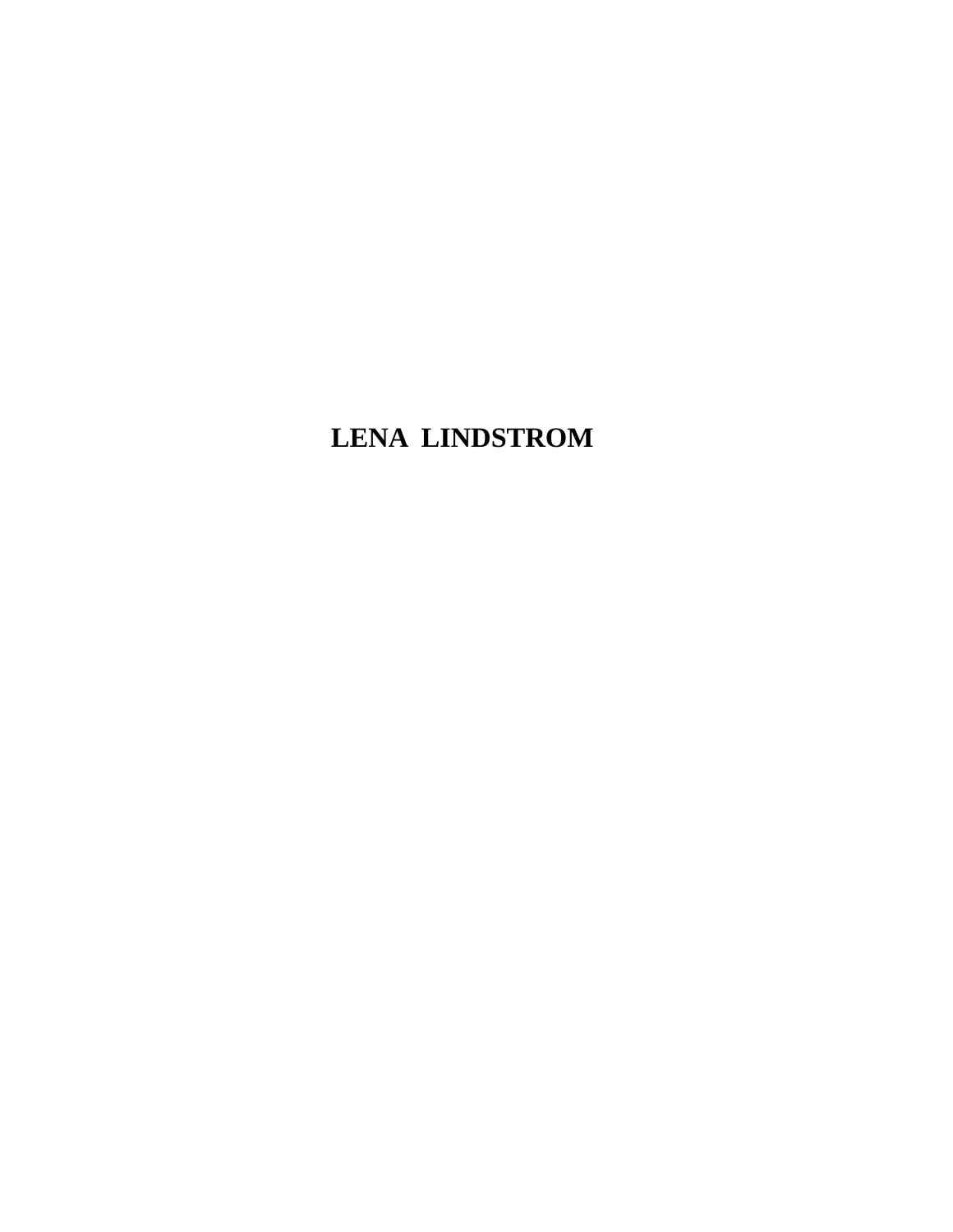## **LENA LINDSTROM**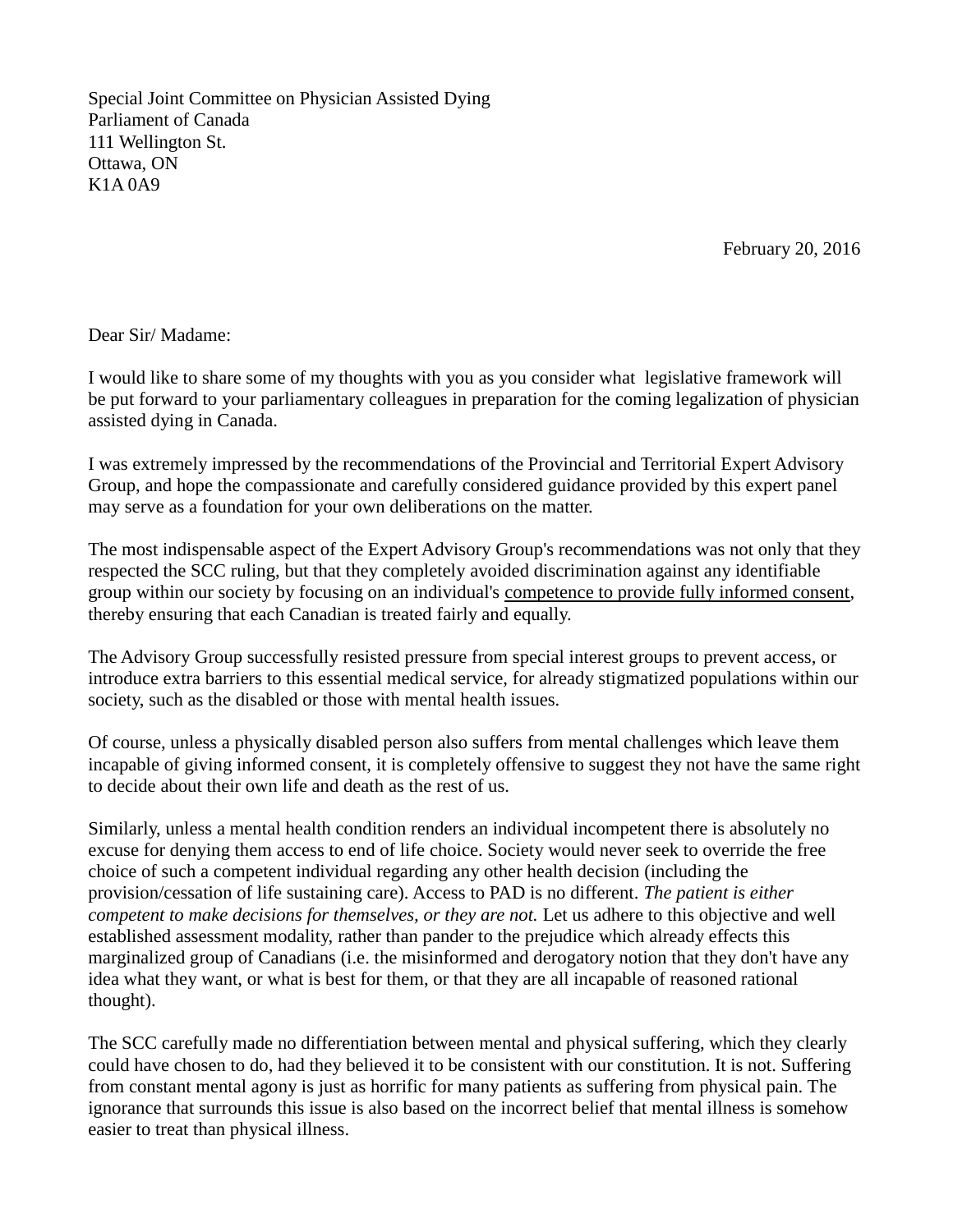Special Joint Committee on Physician Assisted Dying Parliament of Canada 111 Wellington St. Ottawa, ON K1A 0A9

February 20, 2016

Dear Sir/ Madame:

I would like to share some of my thoughts with you as you consider what legislative framework will be put forward to your parliamentary colleagues in preparation for the coming legalization of physician assisted dying in Canada.

I was extremely impressed by the recommendations of the Provincial and Territorial Expert Advisory Group, and hope the compassionate and carefully considered guidance provided by this expert panel may serve as a foundation for your own deliberations on the matter.

The most indispensable aspect of the Expert Advisory Group's recommendations was not only that they respected the SCC ruling, but that they completely avoided discrimination against any identifiable group within our society by focusing on an individual's competence to provide fully informed consent, thereby ensuring that each Canadian is treated fairly and equally.

The Advisory Group successfully resisted pressure from special interest groups to prevent access, or introduce extra barriers to this essential medical service, for already stigmatized populations within our society, such as the disabled or those with mental health issues.

Of course, unless a physically disabled person also suffers from mental challenges which leave them incapable of giving informed consent, it is completely offensive to suggest they not have the same right to decide about their own life and death as the rest of us.

Similarly, unless a mental health condition renders an individual incompetent there is absolutely no excuse for denying them access to end of life choice. Society would never seek to override the free choice of such a competent individual regarding any other health decision (including the provision/cessation of life sustaining care). Access to PAD is no different. *The patient is either competent to make decisions for themselves, or they are not.* Let us adhere to this objective and well established assessment modality, rather than pander to the prejudice which already effects this marginalized group of Canadians (i.e. the misinformed and derogatory notion that they don't have any idea what they want, or what is best for them, or that they are all incapable of reasoned rational thought).

The SCC carefully made no differentiation between mental and physical suffering, which they clearly could have chosen to do, had they believed it to be consistent with our constitution. It is not. Suffering from constant mental agony is just as horrific for many patients as suffering from physical pain. The ignorance that surrounds this issue is also based on the incorrect belief that mental illness is somehow easier to treat than physical illness.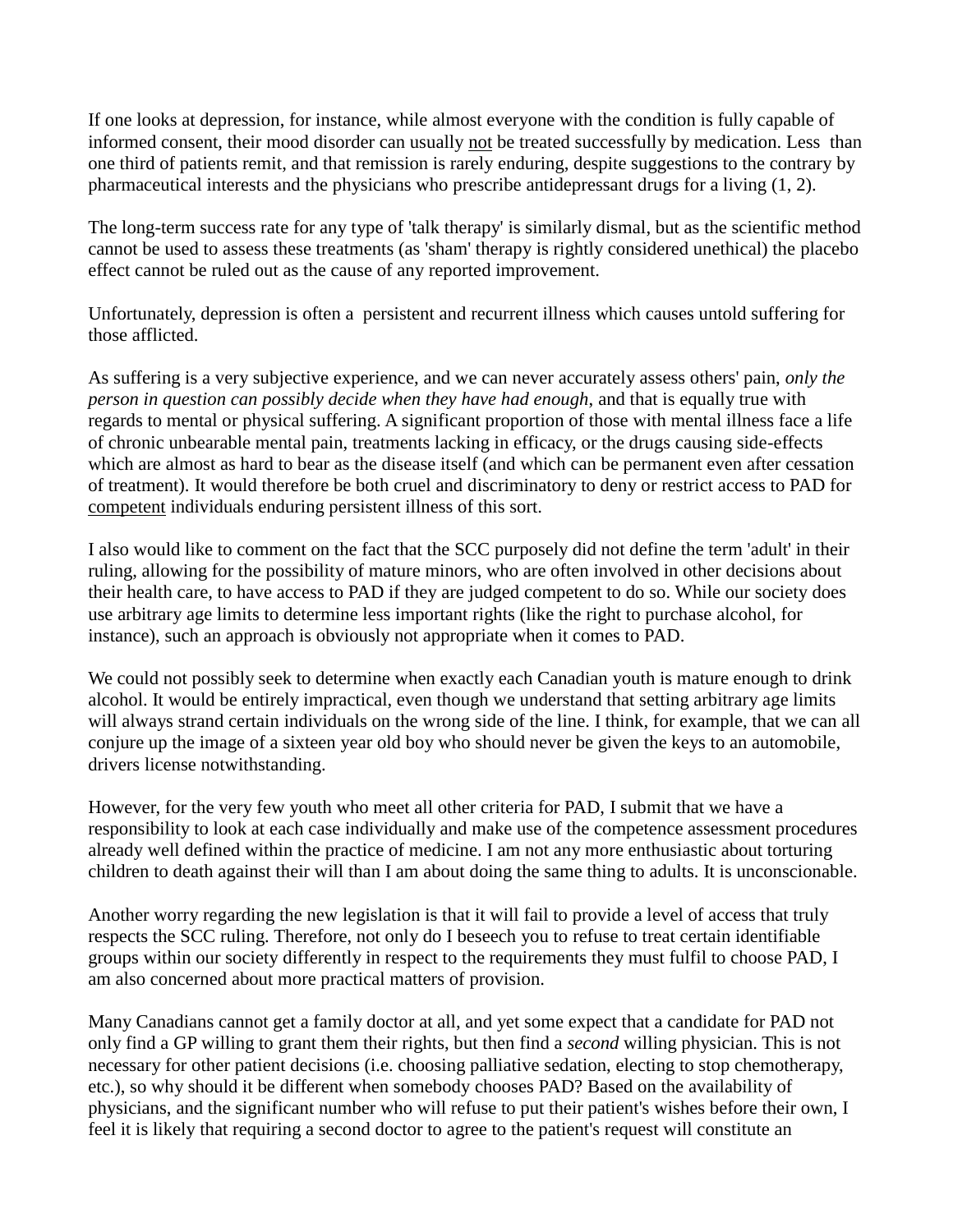If one looks at depression, for instance, while almost everyone with the condition is fully capable of informed consent, their mood disorder can usually not be treated successfully by medication. Less than one third of patients remit, and that remission is rarely enduring, despite suggestions to the contrary by pharmaceutical interests and the physicians who prescribe antidepressant drugs for a living (1, 2).

The long-term success rate for any type of 'talk therapy' is similarly dismal, but as the scientific method cannot be used to assess these treatments (as 'sham' therapy is rightly considered unethical) the placebo effect cannot be ruled out as the cause of any reported improvement.

Unfortunately, depression is often a persistent and recurrent illness which causes untold suffering for those afflicted.

As suffering is a very subjective experience, and we can never accurately assess others' pain, *only the person in question can possibly decide when they have had enough*, and that is equally true with regards to mental or physical suffering. A significant proportion of those with mental illness face a life of chronic unbearable mental pain, treatments lacking in efficacy, or the drugs causing side-effects which are almost as hard to bear as the disease itself (and which can be permanent even after cessation of treatment). It would therefore be both cruel and discriminatory to deny or restrict access to PAD for competent individuals enduring persistent illness of this sort.

I also would like to comment on the fact that the SCC purposely did not define the term 'adult' in their ruling, allowing for the possibility of mature minors, who are often involved in other decisions about their health care, to have access to PAD if they are judged competent to do so. While our society does use arbitrary age limits to determine less important rights (like the right to purchase alcohol, for instance), such an approach is obviously not appropriate when it comes to PAD.

We could not possibly seek to determine when exactly each Canadian youth is mature enough to drink alcohol. It would be entirely impractical, even though we understand that setting arbitrary age limits will always strand certain individuals on the wrong side of the line. I think, for example, that we can all conjure up the image of a sixteen year old boy who should never be given the keys to an automobile, drivers license notwithstanding.

However, for the very few youth who meet all other criteria for PAD, I submit that we have a responsibility to look at each case individually and make use of the competence assessment procedures already well defined within the practice of medicine. I am not any more enthusiastic about torturing children to death against their will than I am about doing the same thing to adults. It is unconscionable.

Another worry regarding the new legislation is that it will fail to provide a level of access that truly respects the SCC ruling. Therefore, not only do I beseech you to refuse to treat certain identifiable groups within our society differently in respect to the requirements they must fulfil to choose PAD, I am also concerned about more practical matters of provision.

Many Canadians cannot get a family doctor at all, and yet some expect that a candidate for PAD not only find a GP willing to grant them their rights, but then find a *second* willing physician. This is not necessary for other patient decisions (i.e. choosing palliative sedation, electing to stop chemotherapy, etc.), so why should it be different when somebody chooses PAD? Based on the availability of physicians, and the significant number who will refuse to put their patient's wishes before their own, I feel it is likely that requiring a second doctor to agree to the patient's request will constitute an